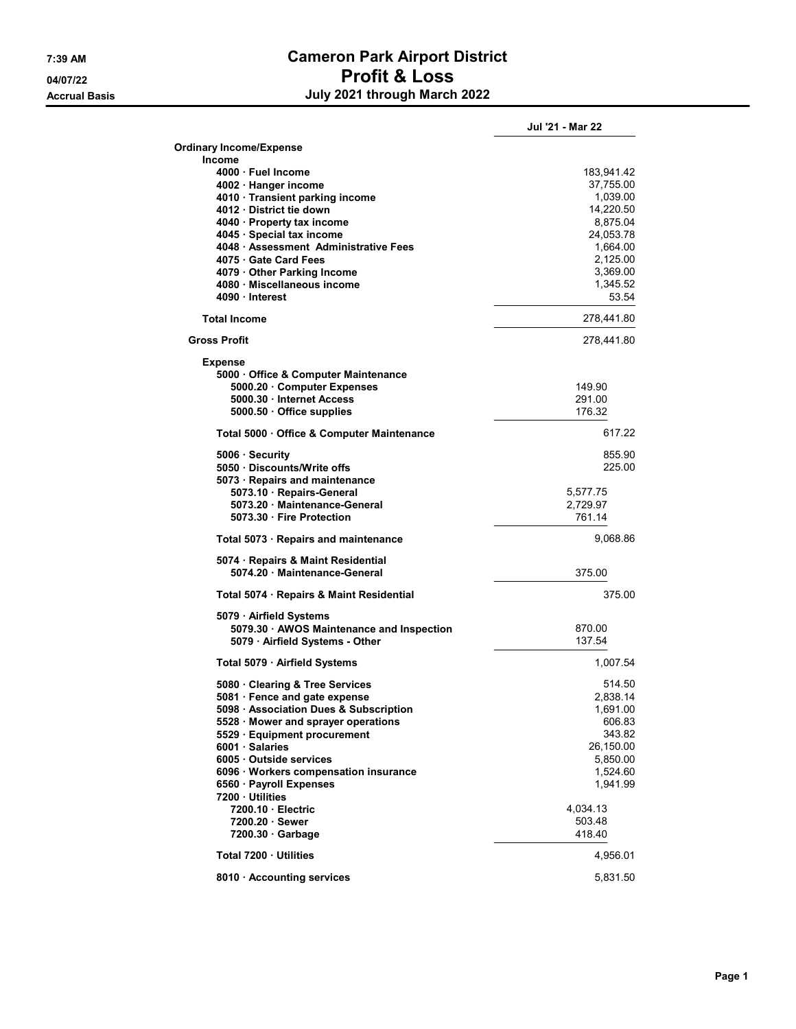## 7:39 AM Cameron Park Airport District 04/07/22 Profit & Loss Accrual Basis **Accrual Basis July 2021 through March 2022**

|                                                                    | Jul '21 - Mar 22      |
|--------------------------------------------------------------------|-----------------------|
| <b>Ordinary Income/Expense</b>                                     |                       |
| <b>Income</b>                                                      |                       |
| 4000 · Fuel Income                                                 | 183,941.42            |
| 4002 · Hanger income                                               | 37,755.00             |
| 4010 · Transient parking income                                    | 1,039.00              |
| 4012 · District tie down                                           | 14,220.50             |
| 4040 · Property tax income                                         | 8,875.04              |
| 4045 · Special tax income<br>4048 · Assessment Administrative Fees | 24,053.78<br>1,664.00 |
| 4075 Gate Card Fees                                                | 2,125.00              |
| 4079 Other Parking Income                                          | 3,369.00              |
| 4080 · Miscellaneous income                                        | 1,345.52              |
| 4090 · Interest                                                    | 53.54                 |
| <b>Total Income</b>                                                | 278,441.80            |
| <b>Gross Profit</b>                                                | 278,441.80            |
|                                                                    |                       |
| <b>Expense</b>                                                     |                       |
| 5000 Office & Computer Maintenance                                 |                       |
| 5000.20 Computer Expenses<br>5000.30 · Internet Access             | 149.90<br>291.00      |
| 5000.50 Office supplies                                            | 176.32                |
|                                                                    |                       |
| Total 5000 · Office & Computer Maintenance                         | 617 22                |
| 5006 · Security                                                    | 855.90                |
| 5050 Discounts/Write offs                                          | 225.00                |
| 5073 · Repairs and maintenance                                     |                       |
| 5073.10 · Repairs-General                                          | 5,577.75              |
| 5073.20 Maintenance-General                                        | 2,729.97              |
| 5073.30 Fire Protection                                            | 761.14                |
| Total 5073 · Repairs and maintenance                               | 9,068.86              |
| 5074 · Repairs & Maint Residential                                 |                       |
| 5074.20 · Maintenance-General                                      | 375.00                |
| Total 5074 · Repairs & Maint Residential                           | 375.00                |
| 5079 · Airfield Systems                                            |                       |
| 5079.30 AWOS Maintenance and Inspection                            | 870.00                |
| 5079 · Airfield Systems - Other                                    | 137.54                |
| Total 5079 · Airfield Systems                                      | 1,007.54              |
| 5080 Clearing & Tree Services                                      | 514.50                |
| 5081 · Fence and gate expense                                      | 2,838.14              |
| 5098 · Association Dues & Subscription                             | 1,691.00              |
| 5528 Mower and sprayer operations                                  | 606.83                |
| 5529 · Equipment procurement                                       | 343.82                |
| 6001 Salaries                                                      | 26,150.00             |
| 6005 Outside services                                              | 5,850.00              |
| 6096 · Workers compensation insurance                              | 1,524.60              |
| 6560 · Payroll Expenses<br>7200 · Utilities                        | 1,941.99              |
| 7200.10 Electric                                                   | 4,034.13              |
| 7200.20 Sewer                                                      | 503.48                |
| 7200.30 Garbage                                                    | 418.40                |
| Total 7200 · Utilities                                             | 4,956.01              |
| 8010 · Accounting services                                         | 5,831.50              |